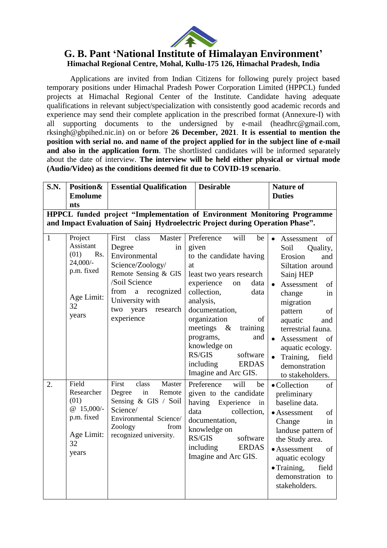

## **G. B. Pant "National Institute of Himalayan Environment" Himachal Regional Centre, Mohal, Kullu-175 126, Himachal Pradesh, India**

Applications are invited from Indian Citizens for following purely project based temporary positions under Himachal Pradesh Power Corporation Limited (HPPCL) funded projects at Himachal Regional Center of the Institute. Candidate having adequate qualifications in relevant subject/specialization with consistently good academic records and experience may send their complete application in the prescribed format (Annexure-I) with all supporting documents to the undersigned by e-mail (headhrc@gmail.com, rksingh@gbpihed.nic.in) on or before **26 December, 2021**. **It is essential to mention the position with serial no. and name of the project applied for in the subject line of e-mail and also in the application form**. The shortlisted candidates will be informed separately about the date of interview. **The interview will be held either physical or virtual mode (Audio/Video) as the conditions deemed fit due to COVID-19 scenario**.

| <b>S.N.</b>  | Position&                                                                                                                                                        | <b>Essential Qualification</b>                                                                                                                                                                           | <b>Desirable</b>                                                                                                                                                                                                                                                                                                                                      | <b>Nature of</b>                                                                                                                                                                                                                                                                                                                                         |  |  |  |  |  |
|--------------|------------------------------------------------------------------------------------------------------------------------------------------------------------------|----------------------------------------------------------------------------------------------------------------------------------------------------------------------------------------------------------|-------------------------------------------------------------------------------------------------------------------------------------------------------------------------------------------------------------------------------------------------------------------------------------------------------------------------------------------------------|----------------------------------------------------------------------------------------------------------------------------------------------------------------------------------------------------------------------------------------------------------------------------------------------------------------------------------------------------------|--|--|--|--|--|
|              | <b>Emolume</b>                                                                                                                                                   |                                                                                                                                                                                                          |                                                                                                                                                                                                                                                                                                                                                       | <b>Duties</b>                                                                                                                                                                                                                                                                                                                                            |  |  |  |  |  |
|              | nts                                                                                                                                                              |                                                                                                                                                                                                          |                                                                                                                                                                                                                                                                                                                                                       |                                                                                                                                                                                                                                                                                                                                                          |  |  |  |  |  |
|              | <b>HPPCL funded project "Implementation of Environment Monitoring Programme</b><br>and Impact Evaluation of Sainj Hydroelectric Project during Operation Phase". |                                                                                                                                                                                                          |                                                                                                                                                                                                                                                                                                                                                       |                                                                                                                                                                                                                                                                                                                                                          |  |  |  |  |  |
|              |                                                                                                                                                                  |                                                                                                                                                                                                          |                                                                                                                                                                                                                                                                                                                                                       |                                                                                                                                                                                                                                                                                                                                                          |  |  |  |  |  |
| $\mathbf{1}$ | Project<br>Assistant<br>(01)<br>R <sub>s</sub> .<br>24,000/-<br>p.m. fixed<br>Age Limit:<br>32<br>years                                                          | First<br>Master<br>class<br>Degree<br>in<br>Environmental<br>Science/Zoology/<br>Remote Sensing & GIS<br>/Soil Science<br>from a recognized<br>University with<br>years<br>research<br>two<br>experience | Preference<br>will<br>be<br>given<br>to the candidate having<br>at<br>least two years research<br>experience<br>data<br>on<br>collection,<br>data<br>analysis,<br>documentation,<br>organization<br>of<br>meetings<br>$\&$<br>training<br>programs,<br>and<br>knowledge on<br>RS/GIS<br>software<br>including<br><b>ERDAS</b><br>Imagine and Arc GIS. | $\bullet$<br>Assessment<br>of<br>Soil<br>Quality,<br>Erosion<br>and<br>Siltation around<br>Sainj HEP<br>Assessment<br>of<br>$\bullet$<br>change<br>in<br>migration<br>pattern<br>of<br>aquatic<br>and<br>terrestrial fauna.<br>of<br>Assessment<br>$\bullet$<br>aquatic ecology.<br>Training,<br>field<br>$\bullet$<br>demonstration<br>to stakeholders. |  |  |  |  |  |
| 2.           | Field<br>Researcher<br>(01)<br>@ $15,000/-$<br>p.m. fixed<br>Age Limit:<br>32<br>years                                                                           | First<br>Master<br>class<br>in<br>Degree<br>Remote<br>Sensing & GIS / Soil<br>Science/<br>Environmental Science/<br>Zoology<br>from<br>recognized university.                                            | Preference<br>will<br>be<br>given to the candidate<br>having Experience<br>in<br>collection,<br>data<br>documentation,<br>knowledge on<br>RS/GIS<br>software<br>including<br><b>ERDAS</b><br>Imagine and Arc GIS.                                                                                                                                     | • Collection<br>of<br>preliminary<br>baseline data.<br>• Assessment<br>of<br>Change<br>in<br>landuse pattern of<br>the Study area.<br>• Assessment<br>of<br>aquatic ecology<br>• Training,<br>field<br>demonstration to<br>stakeholders.                                                                                                                 |  |  |  |  |  |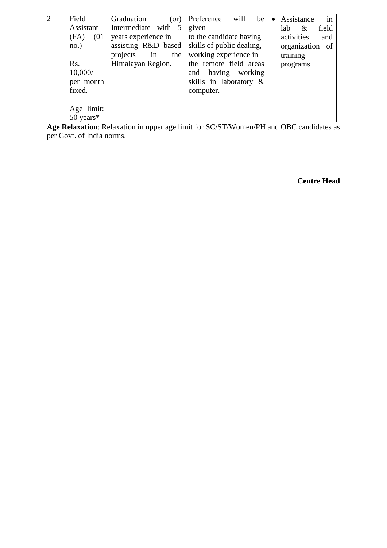| 2 | Field            | Graduation<br>(or)    | Preference<br>will<br>be  | in<br>Assistance  |
|---|------------------|-----------------------|---------------------------|-------------------|
|   | Assistant        | Intermediate with 5   | given                     | field<br>lab<br>& |
|   | (FA)<br>(01)     | years experience in   | to the candidate having   | activities<br>and |
|   | no.)             | assisting R&D based   | skills of public dealing, | organization of   |
|   |                  | projects<br>in<br>the | working experience in     | training          |
|   | R <sub>s</sub> . | Himalayan Region.     | the remote field areas    | programs.         |
|   | $10,000/-$       |                       | working<br>having<br>and  |                   |
|   | per month        |                       | skills in laboratory $\&$ |                   |
|   | fixed.           |                       | computer.                 |                   |
|   |                  |                       |                           |                   |
|   | Age limit:       |                       |                           |                   |
|   | $50$ years*      |                       |                           |                   |

**Age Relaxation**: Relaxation in upper age limit for SC/ST/Women/PH and OBC candidates as per Govt. of India norms.

**Centre Head**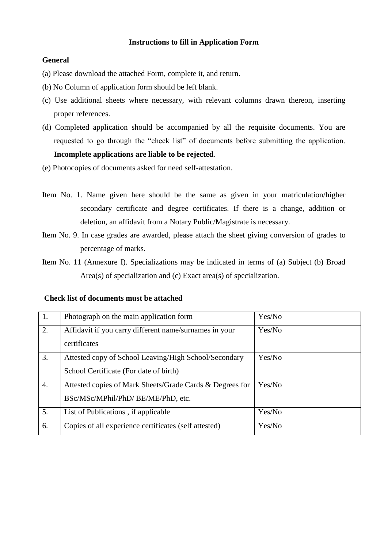#### **Instructions to fill in Application Form**

#### **General**

- (a) Please download the attached Form, complete it, and return.
- (b) No Column of application form should be left blank.
- (c) Use additional sheets where necessary, with relevant columns drawn thereon, inserting proper references.
- (d) Completed application should be accompanied by all the requisite documents. You are requested to go through the "check list" of documents before submitting the application. **Incomplete applications are liable to be rejected**.
- (e) Photocopies of documents asked for need self-attestation.
- Item No. 1. Name given here should be the same as given in your matriculation/higher secondary certificate and degree certificates. If there is a change, addition or deletion, an affidavit from a Notary Public/Magistrate is necessary.
- Item No. 9. In case grades are awarded, please attach the sheet giving conversion of grades to percentage of marks.
- Item No. 11 (Annexure I). Specializations may be indicated in terms of (a) Subject (b) Broad Area(s) of specialization and (c) Exact area(s) of specialization.

#### **Check list of documents must be attached**

| 1. | Photograph on the main application form                                                         | Yes/No |
|----|-------------------------------------------------------------------------------------------------|--------|
| 2. | Affidavit if you carry different name/surnames in your<br>certificates                          | Yes/No |
| 3. | Attested copy of School Leaving/High School/Secondary<br>School Certificate (For date of birth) | Yes/No |
| 4. | Attested copies of Mark Sheets/Grade Cards & Degrees for<br>BSc/MSc/MPhil/PhD/ BE/ME/PhD, etc.  | Yes/No |
| 5. | List of Publications, if applicable                                                             | Yes/No |
| 6. | Copies of all experience certificates (self attested)                                           | Yes/No |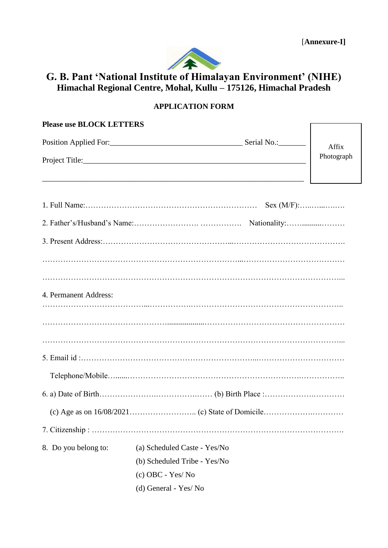[**Annexure-I]**



# **G. B. Pant 'National Institute of Himalayan Environment' (NIHE) Himachal Regional Centre, Mohal, Kullu – 175126, Himachal Pradesh**

## **APPLICATION FORM**

| <b>Please use BLOCK LETTERS</b> |                              |       |
|---------------------------------|------------------------------|-------|
|                                 |                              | Affix |
|                                 | Photograph                   |       |
|                                 |                              |       |
|                                 |                              |       |
|                                 |                              |       |
| 4. Permanent Address:           |                              |       |
|                                 |                              |       |
|                                 |                              |       |
|                                 |                              |       |
|                                 |                              |       |
|                                 |                              |       |
|                                 |                              |       |
| 8. Do you belong to:            | (a) Scheduled Caste - Yes/No |       |
|                                 | (b) Scheduled Tribe - Yes/No |       |
|                                 | $(c)$ OBC - Yes/No           |       |
|                                 | (d) General - Yes/No         |       |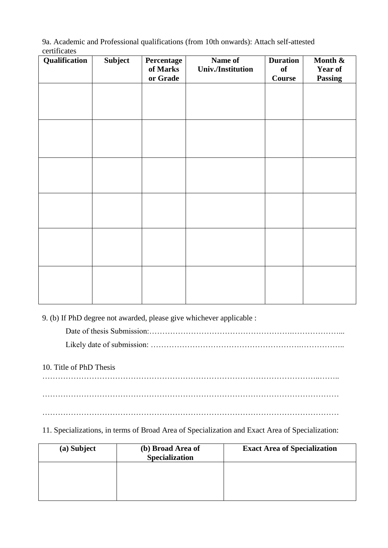9a. Academic and Professional qualifications (from 10th onwards): Attach self-attested certificates

| Qualification | Subject | Percentage<br>of Marks<br>or Grade | Name of<br><b>Univ./Institution</b> | <b>Duration</b><br>of<br><b>Course</b> | Month &<br>Year of<br><b>Passing</b> |
|---------------|---------|------------------------------------|-------------------------------------|----------------------------------------|--------------------------------------|
|               |         |                                    |                                     |                                        |                                      |
|               |         |                                    |                                     |                                        |                                      |
|               |         |                                    |                                     |                                        |                                      |
|               |         |                                    |                                     |                                        |                                      |
|               |         |                                    |                                     |                                        |                                      |
|               |         |                                    |                                     |                                        |                                      |
|               |         |                                    |                                     |                                        |                                      |

9. (b) If PhD degree not awarded, please give whichever applicable :

Date of thesis Submission:……………………………………………….………………...

Likely date of submission: ………………………………………………….……………..

### 10. Title of PhD Thesis

……………………………………………………………………………………………..…….. …………………………………………………………………………………………………… ……………………………………………………………………………………………………

## 11. Specializations, in terms of Broad Area of Specialization and Exact Area of Specialization:

| (a) Subject | (b) Broad Area of<br><b>Specialization</b> | <b>Exact Area of Specialization</b> |
|-------------|--------------------------------------------|-------------------------------------|
|             |                                            |                                     |
|             |                                            |                                     |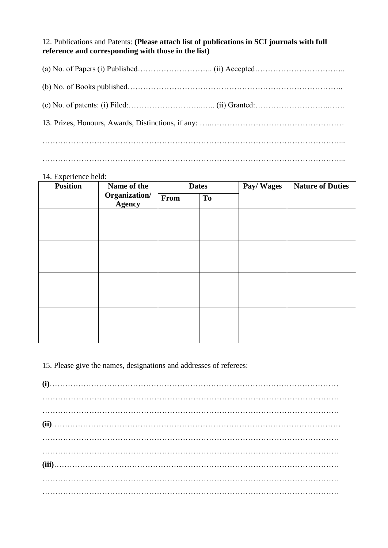12. Publications and Patents: **(Please attach list of publications in SCI journals with full reference and corresponding with those in the list)**

……………………………………………………………………………………………………...

### 14. Experience held:

| <b>Position</b> | Name of the                    | <b>Dates</b> |           | Pay/Wages | <b>Nature of Duties</b> |
|-----------------|--------------------------------|--------------|-----------|-----------|-------------------------|
|                 | Organization/<br><b>Agency</b> | From         | <b>To</b> |           |                         |
|                 |                                |              |           |           |                         |
|                 |                                |              |           |           |                         |
|                 |                                |              |           |           |                         |
|                 |                                |              |           |           |                         |
|                 |                                |              |           |           |                         |
|                 |                                |              |           |           |                         |
|                 |                                |              |           |           |                         |
|                 |                                |              |           |           |                         |

15. Please give the names, designations and addresses of referees: